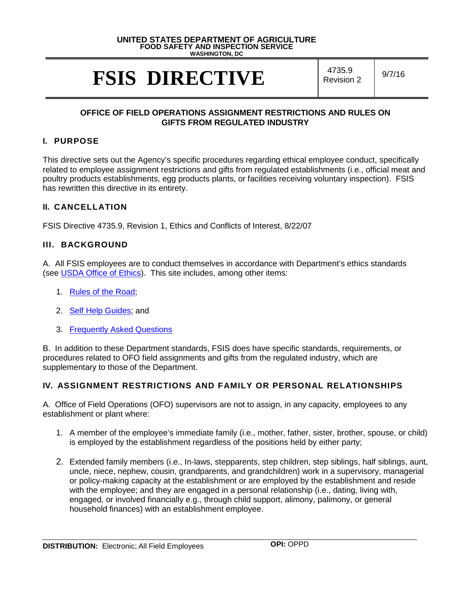#### **UNITED STATES DEPARTMENT OF AGRICULTURE FOOD SAFETY AND INSPECTION SERVICE WASHINGTON, DC**

# **FSIS DIRECTIVE** A735.9

 $R$ evision 2  $9/7/16$ 

#### **OFFICE OF FIELD OPERATIONS ASSIGNMENT RESTRICTIONS AND RULES ON GIFTS FROM REGULATED INDUSTRY**

# **I. PURPOSE**

This directive sets out the Agency's specific procedures regarding ethical employee conduct, specifically related to employee assignment restrictions and gifts from regulated establishments (i.e., official meat and poultry products establishments, egg products plants, or facilities receiving voluntary inspection). FSIS has rewritten this directive in its entirety.

# **II. CANCELLATION**

FSIS Directive 4735.9, Revision 1, Ethics and Conflicts of Interest, 8/22/07

### **III. BACKGROUND**

A. All FSIS employees are to conduct themselves in accordance with Department's ethics standards (see [USDA Office of Ethics\)](http://www.ethics.usda.gov/). This site includes, among other items:

- 1. [Rules of the Road;](http://www.ethics.usda.gov/rules.htm)
- 2. [Self Help Guides;](http://www.ethics.usda.gov/selfhelp.htm) and
- 3. [Frequently Asked Questions](http://www.ethics.usda.gov/faq.htm)

B. In addition to these Department standards, FSIS does have specific standards, requirements, or procedures related to OFO field assignments and gifts from the regulated industry, which are supplementary to those of the Department.

# **IV. ASSIGNMENT RESTRICTIONS AND FAMILY OR PERSONAL RELATIONSHIPS**

A. Office of Field Operations (OFO) supervisors are not to assign, in any capacity, employees to any establishment or plant where:

- 1. A member of the employee's immediate family (i.e., mother, father, sister, brother, spouse, or child) is employed by the establishment regardless of the positions held by either party;
- 2. Extended family members (i.e., In-laws, stepparents, step children, step siblings, half siblings, aunt, uncle, niece, nephew, cousin, grandparents, and grandchildren) work in a supervisory, managerial or policy-making capacity at the establishment or are employed by the establishment and reside with the employee; and they are engaged in a personal relationship (i.e., dating, living with, engaged, or involved financially e.g., through child support, alimony, palimony, or general household finances) with an establishment employee.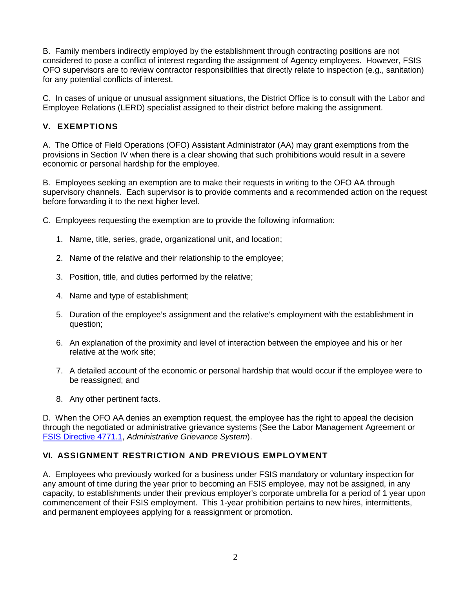B. Family members indirectly employed by the establishment through contracting positions are not considered to pose a conflict of interest regarding the assignment of Agency employees. However, FSIS OFO supervisors are to review contractor responsibilities that directly relate to inspection (e.g., sanitation) for any potential conflicts of interest.

C. In cases of unique or unusual assignment situations, the District Office is to consult with the Labor and Employee Relations (LERD) specialist assigned to their district before making the assignment.

# **V. EXEMPTIONS**

A. The Office of Field Operations (OFO) Assistant Administrator (AA) may grant exemptions from the provisions in Section IV when there is a clear showing that such prohibitions would result in a severe economic or personal hardship for the employee.

B. Employees seeking an exemption are to make their requests in writing to the OFO AA through supervisory channels. Each supervisor is to provide comments and a recommended action on the request before forwarding it to the next higher level.

- C. Employees requesting the exemption are to provide the following information:
	- 1. Name, title, series, grade, organizational unit, and location;
	- 2. Name of the relative and their relationship to the employee;
	- 3. Position, title, and duties performed by the relative;
	- 4. Name and type of establishment;
	- 5. Duration of the employee's assignment and the relative's employment with the establishment in question;
	- 6. An explanation of the proximity and level of interaction between the employee and his or her relative at the work site;
	- 7. A detailed account of the economic or personal hardship that would occur if the employee were to be reassigned; and
	- 8. Any other pertinent facts.

D. When the OFO AA denies an exemption request, the employee has the right to appeal the decision through the negotiated or administrative grievance systems (See the Labor Management Agreement or [FSIS Directive 4771.1,](http://www.fsis.usda.gov/wps/wcm/connect/54085135-d764-4902-b459-f2597c0b0d8d/4771.1.pdf?MOD=AJPERES) *Administrative Grievance System*).

# **VI. ASSIGNMENT RESTRICTION AND PREVIOUS EMPLOYMENT**

A. Employees who previously worked for a business under FSIS mandatory or voluntary inspection for any amount of time during the year prior to becoming an FSIS employee, may not be assigned, in any capacity, to establishments under their previous employer's corporate umbrella for a period of 1 year upon commencement of their FSIS employment. This 1-year prohibition pertains to new hires, intermittents, and permanent employees applying for a reassignment or promotion.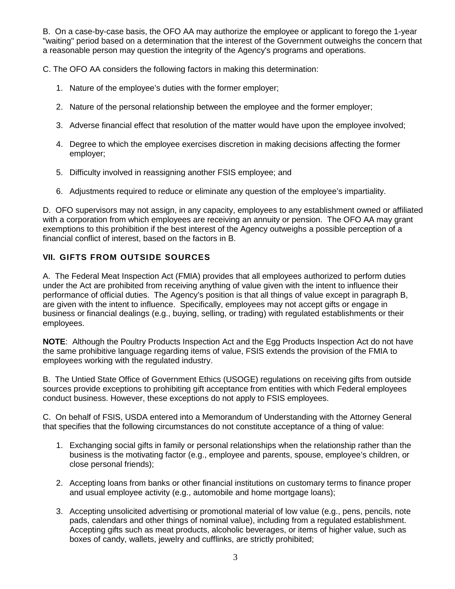B. On a case-by-case basis, the OFO AA may authorize the employee or applicant to forego the 1-year "waiting" period based on a determination that the interest of the Government outweighs the concern that a reasonable person may question the integrity of the Agency's programs and operations.

C. The OFO AA considers the following factors in making this determination:

- 1. Nature of the employee's duties with the former employer;
- 2. Nature of the personal relationship between the employee and the former employer;
- 3. Adverse financial effect that resolution of the matter would have upon the employee involved;
- 4. Degree to which the employee exercises discretion in making decisions affecting the former employer;
- 5. Difficulty involved in reassigning another FSIS employee; and
- 6. Adjustments required to reduce or eliminate any question of the employee's impartiality.

D. OFO supervisors may not assign, in any capacity, employees to any establishment owned or affiliated with a corporation from which employees are receiving an annuity or pension. The OFO AA may grant exemptions to this prohibition if the best interest of the Agency outweighs a possible perception of a financial conflict of interest, based on the factors in B.

# **VII. GIFTS FROM OUTSIDE SOURCES**

A. The Federal Meat Inspection Act (FMIA) provides that all employees authorized to perform duties under the Act are prohibited from receiving anything of value given with the intent to influence their performance of official duties. The Agency's position is that all things of value except in paragraph B, are given with the intent to influence. Specifically, employees may not accept gifts or engage in business or financial dealings (e.g., buying, selling, or trading) with regulated establishments or their employees.

**NOTE**: Although the Poultry Products Inspection Act and the Egg Products Inspection Act do not have the same prohibitive language regarding items of value, FSIS extends the provision of the FMIA to employees working with the regulated industry.

B. The Untied State Office of Government Ethics (USOGE) regulations on receiving gifts from outside sources provide exceptions to prohibiting gift acceptance from entities with which Federal employees conduct business. However, these exceptions do not apply to FSIS employees.

C. On behalf of FSIS, USDA entered into a Memorandum of Understanding with the Attorney General that specifies that the following circumstances do not constitute acceptance of a thing of value:

- 1. Exchanging social gifts in family or personal relationships when the relationship rather than the business is the motivating factor (e.g., employee and parents, spouse, employee's children, or close personal friends);
- 2. Accepting loans from banks or other financial institutions on customary terms to finance proper and usual employee activity (e.g., automobile and home mortgage loans);
- 3. Accepting unsolicited advertising or promotional material of low value (e.g., pens, pencils, note pads, calendars and other things of nominal value), including from a regulated establishment. Accepting gifts such as meat products, alcoholic beverages, or items of higher value, such as boxes of candy, wallets, jewelry and cufflinks, are strictly prohibited;